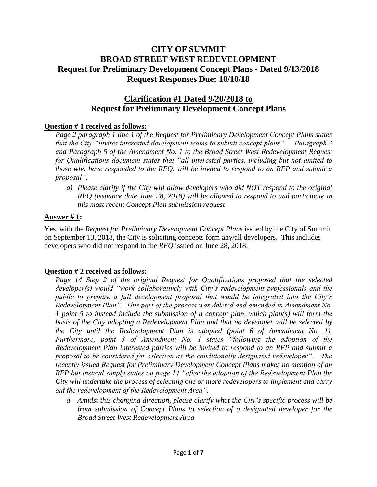# **CITY OF SUMMIT BROAD STREET WEST REDEVELOPMENT Request for Preliminary Development Concept Plans - Dated 9/13/2018 Request Responses Due: 10/10/18**

# **Clarification #1 Dated 9/20/2018 to Request for Preliminary Development Concept Plans**

## **Question # 1 received as follows:**

*Page 2 paragraph 1 line 1 of the Request for Preliminary Development Concept Plans states that the City "invites interested development teams to submit concept plans". Paragraph 3 and Paragraph 5 of the Amendment No. 1 to the Broad Street West Redevelopment Request for Qualifications document states that "all interested parties, including but not limited to those who have responded to the RFQ, will be invited to respond to an RFP and submit a proposal".*

*a) Please clarify if the City will allow developers who did NOT respond to the original RFQ (issuance date June 28, 2018) will be allowed to respond to and participate in this most recent Concept Plan submission request*

## **Answer # 1:**

Yes, with the *Request for Preliminary Development Concept Plans* issued by the City of Summit on September 13, 2018, the City is soliciting concepts form any/all developers. This includes developers who did not respond to the *RFQ* issued on June 28, 2018.

## **Question # 2 received as follows:**

*Page 14 Step 2 of the original Request for Qualifications proposed that the selected developer(s) would "work collaboratively with City's redevelopment professionals and the public to prepare a full development proposal that would be integrated into the City's Redevelopment Plan". This part of the process was deleted and amended in Amendment No. 1 point 5 to instead include the submission of a concept plan, which plan(s) will form the basis of the City adopting a Redevelopment Plan and that no developer will be selected by the City until the Redevelopment Plan is adopted (point 6 of Amendment No. 1). Furthermore, point 3 of Amendment No. 1 states "following the adoption of the Redevelopment Plan interested parties will be invited to respond to an RFP and submit a proposal to be considered for selection as the conditionally designated redeveloper". The recently issued Request for Preliminary Development Concept Plans makes no mention of an RFP but instead simply states on page 14 "after the adoption of the Redevelopment Plan the City will undertake the process of selecting one or more redevelopers to implement and carry out the redevelopment of the Redevelopment Area".*

*a. Amidst this changing direction, please clarify what the City's specific process will be from submission of Concept Plans to selection of a designated developer for the Broad Street West Redevelopment Area*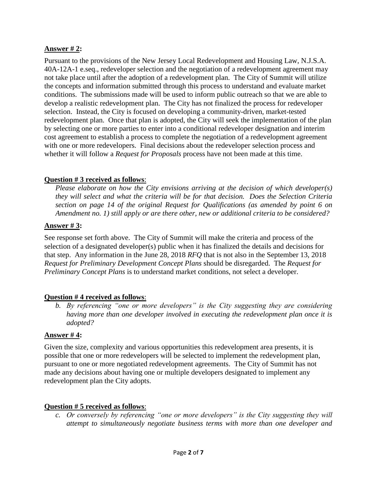## **Answer # 2:**

Pursuant to the provisions of the New Jersey Local Redevelopment and Housing Law, N.J.S.A. 40A-12A-1 e.seq., redeveloper selection and the negotiation of a redevelopment agreement may not take place until after the adoption of a redevelopment plan. The City of Summit will utilize the concepts and information submitted through this process to understand and evaluate market conditions. The submissions made will be used to inform public outreach so that we are able to develop a realistic redevelopment plan. The City has not finalized the process for redeveloper selection. Instead, the City is focused on developing a community-driven, market-tested redevelopment plan. Once that plan is adopted, the City will seek the implementation of the plan by selecting one or more parties to enter into a conditional redeveloper designation and interim cost agreement to establish a process to complete the negotiation of a redevelopment agreement with one or more redevelopers. Final decisions about the redeveloper selection process and whether it will follow a *Request for Proposals* process have not been made at this time.

## **Question # 3 received as follows**:

*Please elaborate on how the City envisions arriving at the decision of which developer(s) they will select and what the criteria will be for that decision. Does the Selection Criteria section on page 14 of the original Request for Qualifications (as amended by point 6 on Amendment no. 1) still apply or are there other, new or additional criteria to be considered?*

## **Answer # 3:**

See response set forth above. The City of Summit will make the criteria and process of the selection of a designated developer(s) public when it has finalized the details and decisions for that step. Any information in the June 28, 2018 *RFQ* that is not also in the September 13, 2018 *Request for Preliminary Development Concept Plans* should be disregarded. The *Request for Preliminary Concept Plans* is to understand market conditions, not select a developer.

## **Question # 4 received as follows**:

*b. By referencing "one or more developers" is the City suggesting they are considering having more than one developer involved in executing the redevelopment plan once it is adopted?*

## **Answer # 4:**

Given the size, complexity and various opportunities this redevelopment area presents, it is possible that one or more redevelopers will be selected to implement the redevelopment plan, pursuant to one or more negotiated redevelopment agreements. The City of Summit has not made any decisions about having one or multiple developers designated to implement any redevelopment plan the City adopts.

## **Question # 5 received as follows**:

*c. Or conversely by referencing "one or more developers" is the City suggesting they will attempt to simultaneously negotiate business terms with more than one developer and*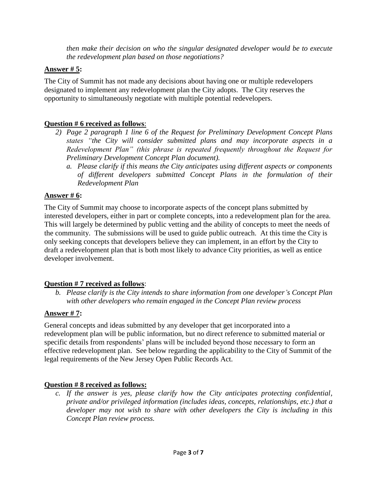*then make their decision on who the singular designated developer would be to execute the redevelopment plan based on those negotiations?*

## **Answer # 5:**

The City of Summit has not made any decisions about having one or multiple redevelopers designated to implement any redevelopment plan the City adopts. The City reserves the opportunity to simultaneously negotiate with multiple potential redevelopers.

## **Question # 6 received as follows**:

- *2) Page 2 paragraph 1 line 6 of the Request for Preliminary Development Concept Plans states "the City will consider submitted plans and may incorporate aspects in a Redevelopment Plan" (this phrase is repeated frequently throughout the Request for Preliminary Development Concept Plan document).*
	- *a. Please clarify if this means the City anticipates using different aspects or components of different developers submitted Concept Plans in the formulation of their Redevelopment Plan*

## **Answer # 6:**

The City of Summit may choose to incorporate aspects of the concept plans submitted by interested developers, either in part or complete concepts, into a redevelopment plan for the area. This will largely be determined by public vetting and the ability of concepts to meet the needs of the community. The submissions will be used to guide public outreach. At this time the City is only seeking concepts that developers believe they can implement, in an effort by the City to draft a redevelopment plan that is both most likely to advance City priorities, as well as entice developer involvement.

## **Question # 7 received as follows**:

*b. Please clarify is the City intends to share information from one developer's Concept Plan with other developers who remain engaged in the Concept Plan review process*

## **Answer # 7:**

General concepts and ideas submitted by any developer that get incorporated into a redevelopment plan will be public information, but no direct reference to submitted material or specific details from respondents' plans will be included beyond those necessary to form an effective redevelopment plan. See below regarding the applicability to the City of Summit of the legal requirements of the New Jersey Open Public Records Act.

## **Question # 8 received as follows:**

*c. If the answer is yes, please clarify how the City anticipates protecting confidential, private and/or privileged information (includes ideas, concepts, relationships, etc.) that a developer may not wish to share with other developers the City is including in this Concept Plan review process.*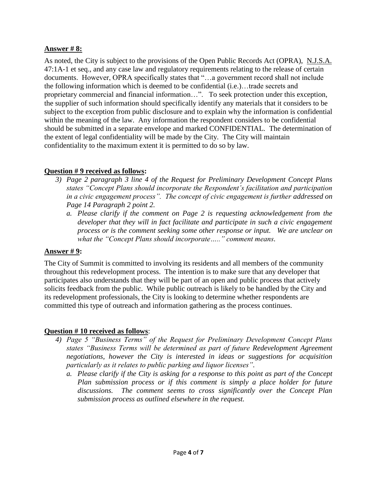## **Answer # 8:**

As noted, the City is subject to the provisions of the Open Public Records Act (OPRA), N.J.S.A. 47:1A-1 et seq., and any case law and regulatory requirements relating to the release of certain documents. However, OPRA specifically states that "…a government record shall not include the following information which is deemed to be confidential (i.e.)…trade secrets and proprietary commercial and financial information…". To seek protection under this exception, the supplier of such information should specifically identify any materials that it considers to be subject to the exception from public disclosure and to explain why the information is confidential within the meaning of the law. Any information the respondent considers to be confidential should be submitted in a separate envelope and marked CONFIDENTIAL. The determination of the extent of legal confidentiality will be made by the City. The City will maintain confidentiality to the maximum extent it is permitted to do so by law.

## **Question # 9 received as follows:**

- *3) Page 2 paragraph 3 line 4 of the Request for Preliminary Development Concept Plans states "Concept Plans should incorporate the Respondent's facilitation and participation*  in a civic engagement process". The concept of civic engagement is further addressed on *Page 14 Paragraph 2 point 2.*
	- *a. Please clarify if the comment on Page 2 is requesting acknowledgement from the developer that they will in fact facilitate and participate in such a civic engagement process or is the comment seeking some other response or input. We are unclear on what the "Concept Plans should incorporate….." comment means.*

## **Answer # 9:**

The City of Summit is committed to involving its residents and all members of the community throughout this redevelopment process. The intention is to make sure that any developer that participates also understands that they will be part of an open and public process that actively solicits feedback from the public. While public outreach is likely to be handled by the City and its redevelopment professionals, the City is looking to determine whether respondents are committed this type of outreach and information gathering as the process continues.

## **Question # 10 received as follows**:

- *4) Page 5 "Business Terms" of the Request for Preliminary Development Concept Plans states "Business Terms will be determined as part of future Redevelopment Agreement negotiations, however the City is interested in ideas or suggestions for acquisition particularly as it relates to public parking and liquor licenses".*
	- *a. Please clarify if the City is asking for a response to this point as part of the Concept Plan submission process or if this comment is simply a place holder for future discussions. The comment seems to cross significantly over the Concept Plan submission process as outlined elsewhere in the request.*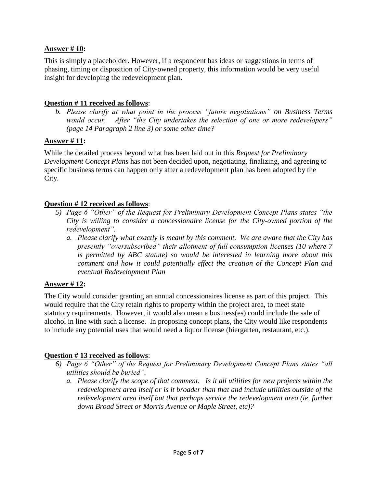## **Answer # 10:**

This is simply a placeholder. However, if a respondent has ideas or suggestions in terms of phasing, timing or disposition of City-owned property, this information would be very useful insight for developing the redevelopment plan.

## **Question # 11 received as follows**:

*b. Please clarify at what point in the process "future negotiations" on Business Terms would occur. After "the City undertakes the selection of one or more redevelopers" (page 14 Paragraph 2 line 3) or some other time?*

## **Answer # 11:**

While the detailed process beyond what has been laid out in this *Request for Preliminary Development Concept Plans* has not been decided upon, negotiating, finalizing, and agreeing to specific business terms can happen only after a redevelopment plan has been adopted by the City.

## **Question # 12 received as follows**:

- *5) Page 6 "Other" of the Request for Preliminary Development Concept Plans states "the City is willing to consider a concessionaire license for the City-owned portion of the redevelopment".*
	- *a. Please clarify what exactly is meant by this comment. We are aware that the City has presently "oversubscribed" their allotment of full consumption licenses (10 where 7 is permitted by ABC statute) so would be interested in learning more about this comment and how it could potentially effect the creation of the Concept Plan and eventual Redevelopment Plan*

## **Answer # 12:**

The City would consider granting an annual concessionaires license as part of this project. This would require that the City retain rights to property within the project area, to meet state statutory requirements. However, it would also mean a business(es) could include the sale of alcohol in line with such a license. In proposing concept plans, the City would like respondents to include any potential uses that would need a liquor license (biergarten, restaurant, etc.).

## **Question # 13 received as follows**:

- *6) Page 6 "Other" of the Request for Preliminary Development Concept Plans states "all utilities should be buried".*
	- *a. Please clarify the scope of that comment. Is it all utilities for new projects within the redevelopment area itself or is it broader than that and include utilities outside of the redevelopment area itself but that perhaps service the redevelopment area (ie, further down Broad Street or Morris Avenue or Maple Street, etc)?*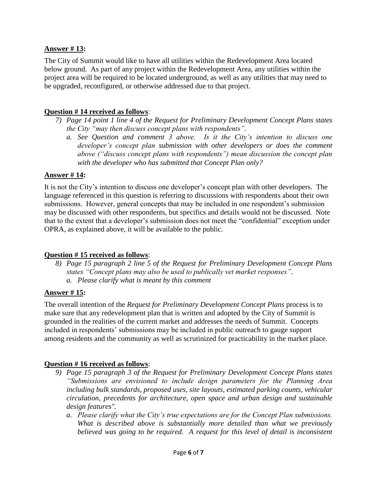## **Answer # 13:**

The City of Summit would like to have all utilities within the Redevelopment Area located below ground. As part of any project within the Redevelopment Area, any utilities within the project area will be required to be located underground, as well as any utilities that may need to be upgraded, reconfigured, or otherwise addressed due to that project.

## **Question # 14 received as follows**:

- *7) Page 14 point 1 line 4 of the Request for Preliminary Development Concept Plans states the City "may then discuss concept plans with respondents".*
	- *a. See Question and comment 3 above. Is it the City's intention to discuss one developer's concept plan submission with other developers or does the comment above ("discuss concept plans with respondents") mean discussion the concept plan with the developer who has submitted that Concept Plan only?*

## **Answer # 14:**

It is not the City's intention to discuss one developer's concept plan with other developers. The language referenced in this question is referring to discussions with respondents about their own submissions. However, general concepts that may be included in one respondent's submission may be discussed with other respondents, but specifics and details would not be discussed. Note that to the extent that a developer's submission does not meet the "confidential" exception under OPRA, as explained above, it will be available to the public.

## **Question # 15 received as follows**:

*8) Page 15 paragraph 2 line 5 of the Request for Preliminary Development Concept Plans states "Concept plans may also be used to publically vet market responses". a. Please clarify what is meant by this comment*

## **Answer # 15:**

The overall intention of the *Request for Preliminary Development Concept Plans* process is to make sure that any redevelopment plan that is written and adopted by the City of Summit is grounded in the realities of the current market and addresses the needs of Summit. Concepts included in respondents' submissions may be included in public outreach to gauge support among residents and the community as well as scrutinized for practicability in the market place.

## **Question # 16 received as follows**:

- *9) Page 15 paragraph 3 of the Request for Preliminary Development Concept Plans states "Submissions are envisioned to include design parameters for the Planning Area including bulk standards, proposed uses, site layouts, estimated parking counts, vehicular circulation, precedents for architecture, open space and urban design and sustainable design features".*
	- *a. Please clarify what the City's true expectations are for the Concept Plan submissions. What is described above is substantially more detailed than what we previously believed was going to be required. A request for this level of detail is inconsistent*